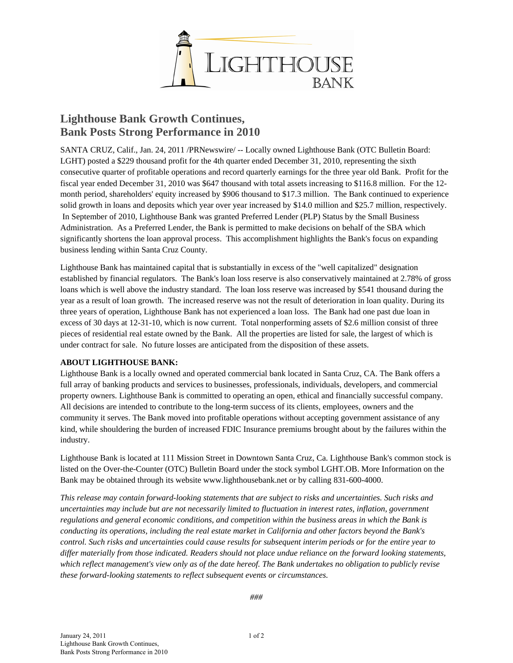

## **Lighthouse Bank Growth Continues, Bank Posts Strong Performance in 2010**

SANTA CRUZ, Calif., Jan. 24, 2011 /PRNewswire/ -- Locally owned Lighthouse Bank (OTC Bulletin Board: LGHT) posted a \$229 thousand profit for the 4th quarter ended December 31, 2010, representing the sixth consecutive quarter of profitable operations and record quarterly earnings for the three year old Bank. Profit for the fiscal year ended December 31, 2010 was \$647 thousand with total assets increasing to \$116.8 million. For the 12 month period, shareholders' equity increased by \$906 thousand to \$17.3 million. The Bank continued to experience solid growth in loans and deposits which year over year increased by \$14.0 million and \$25.7 million, respectively. In September of 2010, Lighthouse Bank was granted Preferred Lender (PLP) Status by the Small Business Administration. As a Preferred Lender, the Bank is permitted to make decisions on behalf of the SBA which significantly shortens the loan approval process. This accomplishment highlights the Bank's focus on expanding business lending within Santa Cruz County.

Lighthouse Bank has maintained capital that is substantially in excess of the "well capitalized" designation established by financial regulators. The Bank's loan loss reserve is also conservatively maintained at 2.78% of gross loans which is well above the industry standard. The loan loss reserve was increased by \$541 thousand during the year as a result of loan growth. The increased reserve was not the result of deterioration in loan quality. During its three years of operation, Lighthouse Bank has not experienced a loan loss. The Bank had one past due loan in excess of 30 days at 12-31-10, which is now current. Total nonperforming assets of \$2.6 million consist of three pieces of residential real estate owned by the Bank. All the properties are listed for sale, the largest of which is under contract for sale. No future losses are anticipated from the disposition of these assets.

## **ABOUT LIGHTHOUSE BANK:**

Lighthouse Bank is a locally owned and operated commercial bank located in Santa Cruz, CA. The Bank offers a full array of banking products and services to businesses, professionals, individuals, developers, and commercial property owners. Lighthouse Bank is committed to operating an open, ethical and financially successful company. All decisions are intended to contribute to the long-term success of its clients, employees, owners and the community it serves. The Bank moved into profitable operations without accepting government assistance of any kind, while shouldering the burden of increased FDIC Insurance premiums brought about by the failures within the industry.

Lighthouse Bank is located at 111 Mission Street in Downtown Santa Cruz, Ca. Lighthouse Bank's common stock is listed on the Over-the-Counter (OTC) Bulletin Board under the stock symbol LGHT.OB. More Information on the Bank may be obtained through its website www.lighthousebank.net or by calling 831-600-4000.

*This release may contain forward-looking statements that are subject to risks and uncertainties. Such risks and uncertainties may include but are not necessarily limited to fluctuation in interest rates, inflation, government regulations and general economic conditions, and competition within the business areas in which the Bank is conducting its operations, including the real estate market in California and other factors beyond the Bank's control. Such risks and uncertainties could cause results for subsequent interim periods or for the entire year to differ materially from those indicated. Readers should not place undue reliance on the forward looking statements, which reflect management's view only as of the date hereof. The Bank undertakes no obligation to publicly revise these forward-looking statements to reflect subsequent events or circumstances.*